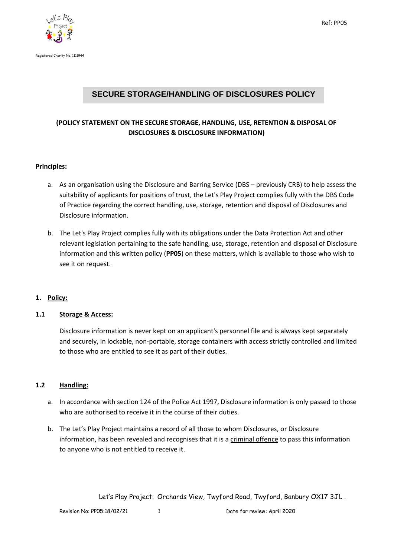



# **SECURE STORAGE/HANDLING OF DISCLOSURES POLICY**

## **(POLICY STATEMENT ON THE SECURE STORAGE, HANDLING, USE, RETENTION & DISPOSAL OF DISCLOSURES & DISCLOSURE INFORMATION)**

#### **Principles:**

- a. As an organisation using the Disclosure and Barring Service (DBS previously CRB) to help assess the suitability of applicants for positions of trust, the Let's Play Project complies fully with the DBS Code of Practice regarding the correct handling, use, storage, retention and disposal of Disclosures and Disclosure information.
- b. The Let's Play Project complies fully with its obligations under the Data Protection Act and other relevant legislation pertaining to the safe handling, use, storage, retention and disposal of Disclosure information and this written policy (**PP05**) on these matters, which is available to those who wish to see it on request.

### **1. Policy:**

### **1.1 Storage & Access:**

Disclosure information is never kept on an applicant's personnel file and is always kept separately and securely, in lockable, non-portable, storage containers with access strictly controlled and limited to those who are entitled to see it as part of their duties.

### **1.2 Handling:**

- a. In accordance with section 124 of the Police Act 1997, Disclosure information is only passed to those who are authorised to receive it in the course of their duties.
- b. The Let's Play Project maintains a record of all those to whom Disclosures, or Disclosure information, has been revealed and recognises that it is a criminal offence to pass this information to anyone who is not entitled to receive it.

Let's Play Project. Orchards View, Twyford Road, Twyford, Banbury OX17 3JL .